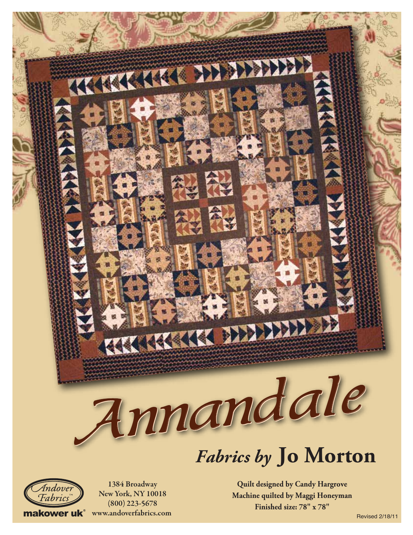# Annandale Annandale

KKK DELEVELY





1384 Broadway NewYork, NY 10018 (800) 223-5678 makower uk<sup>®</sup> www.andoverfabrics.com

TE KKK KKA DE E

**Quilt designed by Candy Hargrove Machine quilted by Maggi Honeyman Finished size: 78" x 78"**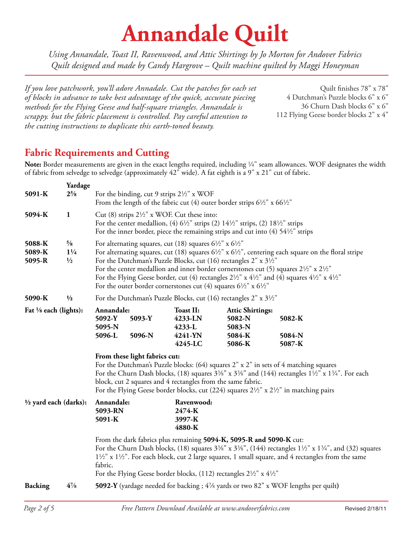# **Annandale Quilt**

*Using Annandale, Toast II, Ravenwood, and Attic Shirtings by Jo Morton for Andover Fabrics Quilt designed and made by Candy Hargrove – Quilt machine quilted by Maggi Honeyman*

*If you love patchwork, you'll adore Annadale. Cut the patches for each set of blocks in advance to take best advantage of the quick, accurate piecing methods for the Flying Geese and half-square triangles. Annandale is scrappy. but the fabric placement is controlled. Pay careful attention to the cutting instructions to duplicate this earth-toned beauty.*

Quilt finishes 78" x 78" 4 Dutchman's Puzzle blocks 6" x 6" 36 Churn Dash blocks 6" x 6" 112 Flying Geese border blocks 2" x 4"

### **Fabric Requirements and Cutting**

Note: Border measurements are given in the exact lengths required, including <sup>1/4"</sup> seam allowances. WOF designates the width of fabric from selvedge to selvedge (approximately 42" wide). A fat eighth is a 9" x 21" cut of fabric.

| 5091-K                           | Yardage<br>$2\frac{5}{8}$                        | For the binding, cut 9 strips $2\frac{1}{2}$ " x WOF<br>From the length of the fabric cut (4) outer border strips $6\frac{1}{2}$ " x $66\frac{1}{2}$ "                                                                                                                                                                                                                                                                                                                                                                                                                                                                           |                  |                                                             |                                                                 |                            |
|----------------------------------|--------------------------------------------------|----------------------------------------------------------------------------------------------------------------------------------------------------------------------------------------------------------------------------------------------------------------------------------------------------------------------------------------------------------------------------------------------------------------------------------------------------------------------------------------------------------------------------------------------------------------------------------------------------------------------------------|------------------|-------------------------------------------------------------|-----------------------------------------------------------------|----------------------------|
| 5094-K                           | $\mathbf{1}$                                     | Cut (8) strips $2\frac{1}{2}$ " x WOF. Cut these into:<br>For the center medallion, (4) $6\frac{1}{2}$ " strips (2) $14\frac{1}{2}$ " strips, (2) $18\frac{1}{2}$ " strips<br>For the inner border, piece the remaining strips and cut into $(4)$ 54 $\frac{1}{2}$ " strips                                                                                                                                                                                                                                                                                                                                                      |                  |                                                             |                                                                 |                            |
| 5088-K<br>5089-K<br>5095-R       | $\frac{5}{8}$<br>$1\frac{1}{4}$<br>$\frac{1}{2}$ | For alternating squares, cut (18) squares $6\frac{1}{2}$ " x $6\frac{1}{2}$ "<br>For alternating squares, cut (18) squares $6\frac{1}{2}$ " x $6\frac{1}{2}$ ", centering each square on the floral stripe<br>For the Dutchman's Puzzle Blocks, cut (16) rectangles 2" x 31/2"<br>For the center medallion and inner border cornerstones cut (5) squares $2\frac{1}{2}$ " x $2\frac{1}{2}$ "<br>For the Flying Geese border, cut (4) rectangles $2\frac{1}{2}$ " x $4\frac{1}{2}$ " and (4) squares $4\frac{1}{2}$ " x $4\frac{1}{2}$ "<br>For the outer border cornerstones cut (4) squares $6\frac{1}{2}$ " x $6\frac{1}{2}$ " |                  |                                                             |                                                                 |                            |
| 5090-K                           | $\frac{1}{2}$                                    | For the Dutchman's Puzzle Blocks, cut (16) rectangles $2'' \times 3^{1/2}$                                                                                                                                                                                                                                                                                                                                                                                                                                                                                                                                                       |                  |                                                             |                                                                 |                            |
| Fat 1/8 each (lights):           |                                                  | Annandale:<br>5092-Y<br>5095-N<br>5096-L                                                                                                                                                                                                                                                                                                                                                                                                                                                                                                                                                                                         | 5093-Y<br>5096-N | <b>Toast II:</b><br>4233-LN<br>4233-L<br>4241-YN<br>4245-LC | <b>Attic Shirtings:</b><br>5082-N<br>5083-N<br>5084-K<br>5086-K | 5082-K<br>5084-N<br>5087-K |
|                                  |                                                  | From these light fabrics cut:<br>For the Dutchman's Puzzle blocks: (64) squares 2" x 2" in sets of 4 matching squares<br>For the Churn Dash blocks, (18) squares $3\frac{3}{8}$ " x $3\frac{3}{8}$ " and (144) rectangles $1\frac{1}{2}$ " x $1\frac{3}{4}$ ". For each<br>block, cut 2 squares and 4 rectangles from the same fabric.<br>For the Flying Geese border blocks, cut (224) squares $2\frac{1}{2}$ " x $2\frac{1}{2}$ " in matching pairs                                                                                                                                                                            |                  |                                                             |                                                                 |                            |
| $\frac{1}{2}$ yard each (darks): |                                                  | Annandale:<br>5093-RN<br>5091-K                                                                                                                                                                                                                                                                                                                                                                                                                                                                                                                                                                                                  |                  | Ravenwood:<br>2474-K<br>3997-K<br>4880-K                    |                                                                 |                            |
|                                  |                                                  | From the dark fabrics plus remaining 5094-K, 5095-R and 5090-K cut:<br>For the Churn Dash blocks, (18) squares $3\frac{3}{8}$ " x $3\frac{3}{8}$ ", (144) rectangles $1\frac{1}{2}$ " x $1\frac{3}{4}$ ", and (32) squares<br>11/2" x 11/2". For each block, cut 2 large squares, 1 small square, and 4 rectangles from the same<br>fabric.<br>For the Flying Geese border blocks, (112) rectangles $2\frac{1}{2}$ " x $4\frac{1}{2}$ "                                                                                                                                                                                          |                  |                                                             |                                                                 |                            |
| <b>Backing</b>                   | $4\frac{7}{8}$                                   | 5092-Y (yardage needed for backing ; 4% yards or two 82" x WOF lengths per quilt)                                                                                                                                                                                                                                                                                                                                                                                                                                                                                                                                                |                  |                                                             |                                                                 |                            |
|                                  |                                                  |                                                                                                                                                                                                                                                                                                                                                                                                                                                                                                                                                                                                                                  |                  |                                                             |                                                                 |                            |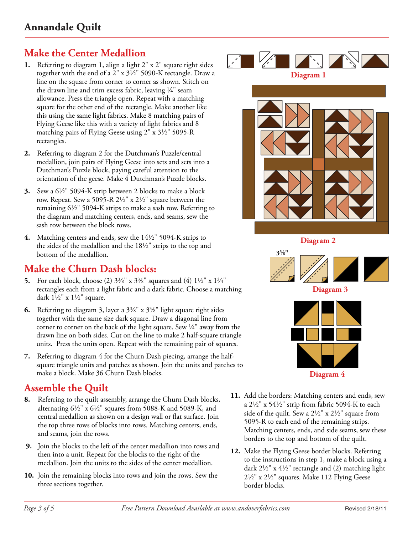## **Make the Center Medallion**

- **1.** Referring to diagram 1, align a light 2" x 2" square right sides together with the end of a  $2''$  x  $3\frac{1}{2}$ " 5090-K rectangle. Draw a line on the square from corner to corner as shown. Stitch on the drawn line and trim excess fabric, leaving  $\frac{1}{4}$ " seam allowance. Press the triangle open. Repeat with a matching square for the other end of the rectangle. Make another like this using the same light fabrics. Make 8 matching pairs of Flying Geese like this with a variety of light fabrics and 8 matching pairs of Flying Geese using  $2'' \times 3\frac{1}{2}$  5095-R rectangles.
- **2.** Referring to diagram 2 for the Dutchman's Puzzle/central medallion, join pairs of Flying Geese into sets and sets into a Dutchman's Puzzle block, paying careful attention to the orientation of the geese. Make 4 Dutchman's Puzzle blocks.
- **3.** Sew a  $6\frac{1}{2}$ " 5094-K strip between 2 blocks to make a block row. Repeat. Sew a 5095-R  $2\frac{1}{2}$ " x  $2\frac{1}{2}$ " square between the remaining  $6\frac{1}{2}$ " 5094-K strips to make a sash row. Referring to the diagram and matching centers, ends, and seams, sew the sash row between the block rows.
- **4.** Matching centers and ends, sew the 14<sup>1</sup>/<sub>2</sub>" 5094-K strips to the sides of the medallion and the  $18\frac{1}{2}$ " strips to the top and bottom of the medallion.

### **Make the Churn Dash blocks:**

- **5.** For each block, choose (2)  $3\frac{3}{8}$ " x  $3\frac{3}{8}$ " squares and (4)  $1\frac{1}{2}$ " x  $1\frac{3}{4}$ " rectangles each from a light fabric and a dark fabric. Choose a matching dark  $1\frac{1}{2}$ " x  $1\frac{1}{2}$ " square.
- **6.** Referring to diagram 3, layer a  $3\frac{3}{8}$ " x  $3\frac{3}{8}$ " light square right sides together with the same size dark square. Draw a diagonal line from corner to corner on the back of the light square. Sew  $\frac{1}{4}$ " away from the drawn line on both sides. Cut on the line to make 2 half-square triangle units. Press the units open. Repeat with the remaining pair of squares.
- **7.** Referring to diagram 4 for the Churn Dash piecing, arrange the halfsquare triangle units and patches as shown. Join the units and patches to make a block. Make 36 Churn Dash blocks.

### **Assemble the Quilt**

- **8.** Referring to the quilt assembly, arrange the Churn Dash blocks, alternating  $6\frac{1}{2}$ " x  $6\frac{1}{2}$ " squares from 5088-K and 5089-K, and central medallion as shown on a design wall or flat surface. Join the top three rows of blocks into rows. Matching centers, ends, and seams, join the rows.
- **9.** Join the blocks to the left of the center medallion into rows and then into a unit. Repeat for the blocks to the right of the medallion. Join the units to the sides of the center medallion.
- **10.** Join the remaining blocks into rows and join the rows. Sew the three sections together.



- **11.** Add the borders: Matching centers and ends, sew a  $2\frac{1}{2}$ " x  $54\frac{1}{2}$ " strip from fabric 5094-K to each side of the quilt. Sew a  $2\frac{1}{2}$ " x  $2\frac{1}{2}$ " square from 5095-R to each end of the remaining strips. Matching centers, ends, and side seams, sew these borders to the top and bottom of the quilt.
- **12.** Make the Flying Geese border blocks. Referring to the instructions in step 1, make a block using a dark  $2\frac{1}{2}$ " x  $4\frac{1}{2}$ " rectangle and (2) matching light  $2\frac{1}{2}$ " x  $2\frac{1}{2}$ " squares. Make 112 Flying Geese border blocks.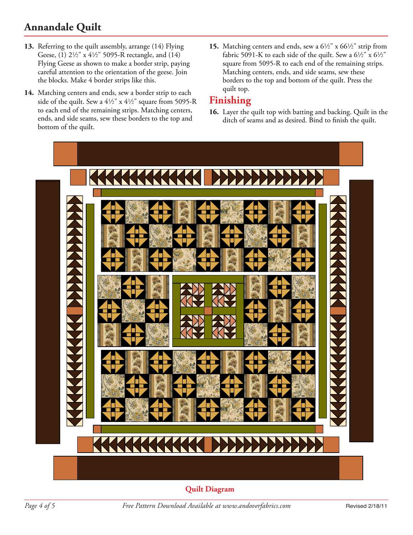# **Annandale Quilt**

- **13.** Referring to the quilt assembly, arrange (14) Flying Geese, (1)  $2\frac{1}{2}$ " x  $4\frac{1}{2}$ " 5095-R rectangle, and (14) Flying Geese as shown to make a border strip, paying careful attention to the orientation of the geese. Join the blocks. Make 4 border strips like this.
- **14.** Matching centers and ends, sew a border strip to each side of the quilt. Sew a  $4\frac{1}{2}$ " x  $4\frac{1}{2}$ " square from 5095-R to each end of the remaining strips. Matching centers, ends, and side seams, sew these borders to the top and bottom of the quilt.
- **15.** Matching centers and ends, sew a  $6\frac{1}{2}$ " x  $66\frac{1}{2}$ " strip from fabric 5091-K to each side of the quilt. Sew a  $6\frac{1}{2}$ " x  $6\frac{1}{2}$ " square from 5095-R to each end of the remaining strips. Matching centers, ends, and side seams, sew these borders to the top and bottom of the quilt. Press the quilt top.

### **Finishing**

**16.** Layer the quilt top with batting and backing. Quilt in the ditch of seams and as desired. Bind to finish the quilt.



**Quilt Diagram**